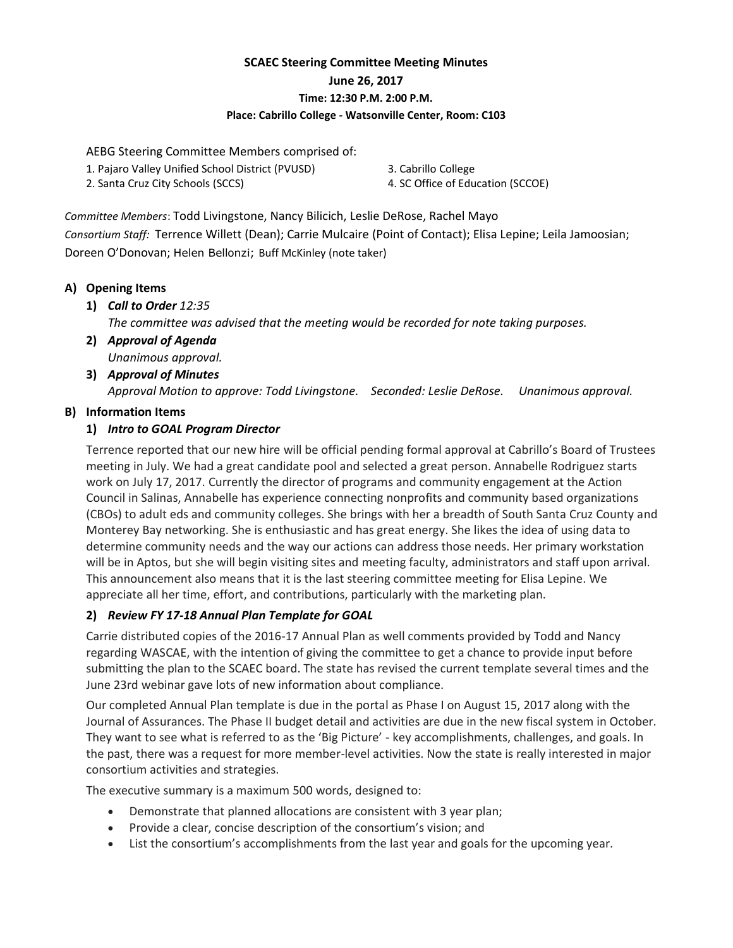# **SCAEC Steering Committee Meeting Minutes June 26, 2017 Time: 12:30 P.M. 2:00 P.M. Place: Cabrillo College - Watsonville Center, Room: C103**

AEBG Steering Committee Members comprised of:

- 1. Pajaro Valley Unified School District (PVUSD)
- 3. Cabrillo College

2. Santa Cruz City Schools (SCCS)

4. SC Office of Education (SCCOE)

*Committee Members*: Todd Livingstone, Nancy Bilicich, Leslie DeRose, Rachel Mayo *Consortium Staff:* Terrence Willett (Dean); Carrie Mulcaire (Point of Contact); Elisa Lepine; Leila Jamoosian; Doreen O'Donovan; Helen Bellonzi; Buff McKinley (note taker)

## **A) Opening Items**

**1)** *Call to Order 12:35*

*The committee was advised that the meeting would be recorded for note taking purposes.*

- **2)** *Approval of Agenda Unanimous approval.*
- **3)** *Approval of Minutes Approval Motion to approve: Todd Livingstone. Seconded: Leslie DeRose. Unanimous approval.*

## **B) Information Items**

#### **1)** *Intro to GOAL Program Director*

Terrence reported that our new hire will be official pending formal approval at Cabrillo's Board of Trustees meeting in July. We had a great candidate pool and selected a great person. Annabelle Rodriguez starts work on July 17, 2017. Currently the director of programs and community engagement at the Action Council in Salinas, Annabelle has experience connecting nonprofits and community based organizations (CBOs) to adult eds and community colleges. She brings with her a breadth of South Santa Cruz County and Monterey Bay networking. She is enthusiastic and has great energy. She likes the idea of using data to determine community needs and the way our actions can address those needs. Her primary workstation will be in Aptos, but she will begin visiting sites and meeting faculty, administrators and staff upon arrival. This announcement also means that it is the last steering committee meeting for Elisa Lepine. We appreciate all her time, effort, and contributions, particularly with the marketing plan.

## **2)** *Review FY 17-18 Annual Plan Template for GOAL*

Carrie distributed copies of the 2016-17 Annual Plan as well comments provided by Todd and Nancy regarding WASCAE, with the intention of giving the committee to get a chance to provide input before submitting the plan to the SCAEC board. The state has revised the current template several times and the June 23rd webinar gave lots of new information about compliance.

Our completed Annual Plan template is due in the portal as Phase I on August 15, 2017 along with the Journal of Assurances. The Phase II budget detail and activities are due in the new fiscal system in October. They want to see what is referred to as the 'Big Picture' - key accomplishments, challenges, and goals. In the past, there was a request for more member-level activities. Now the state is really interested in major consortium activities and strategies.

The executive summary is a maximum 500 words, designed to:

- Demonstrate that planned allocations are consistent with 3 year plan;
- Provide a clear, concise description of the consortium's vision; and
- List the consortium's accomplishments from the last year and goals for the upcoming year.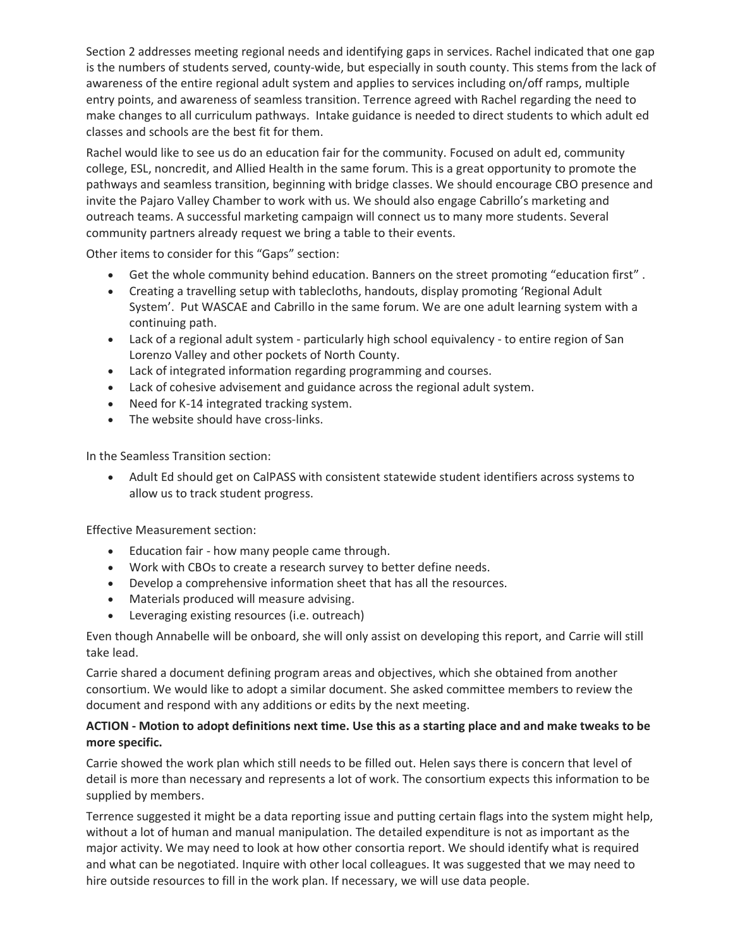Section 2 addresses meeting regional needs and identifying gaps in services. Rachel indicated that one gap is the numbers of students served, county-wide, but especially in south county. This stems from the lack of awareness of the entire regional adult system and applies to services including on/off ramps, multiple entry points, and awareness of seamless transition. Terrence agreed with Rachel regarding the need to make changes to all curriculum pathways. Intake guidance is needed to direct students to which adult ed classes and schools are the best fit for them.

Rachel would like to see us do an education fair for the community. Focused on adult ed, community college, ESL, noncredit, and Allied Health in the same forum. This is a great opportunity to promote the pathways and seamless transition, beginning with bridge classes. We should encourage CBO presence and invite the Pajaro Valley Chamber to work with us. We should also engage Cabrillo's marketing and outreach teams. A successful marketing campaign will connect us to many more students. Several community partners already request we bring a table to their events.

Other items to consider for this "Gaps" section:

- Get the whole community behind education. Banners on the street promoting "education first" .
- Creating a travelling setup with tablecloths, handouts, display promoting 'Regional Adult System'. Put WASCAE and Cabrillo in the same forum. We are one adult learning system with a continuing path.
- Lack of a regional adult system particularly high school equivalency to entire region of San Lorenzo Valley and other pockets of North County.
- Lack of integrated information regarding programming and courses.
- Lack of cohesive advisement and guidance across the regional adult system.
- Need for K-14 integrated tracking system.
- The website should have cross-links.

In the Seamless Transition section:

• Adult Ed should get on CalPASS with consistent statewide student identifiers across systems to allow us to track student progress.

Effective Measurement section:

- Education fair how many people came through.
- Work with CBOs to create a research survey to better define needs.
- Develop a comprehensive information sheet that has all the resources.
- Materials produced will measure advising.
- Leveraging existing resources (i.e. outreach)

Even though Annabelle will be onboard, she will only assist on developing this report, and Carrie will still take lead.

Carrie shared a document defining program areas and objectives, which she obtained from another consortium. We would like to adopt a similar document. She asked committee members to review the document and respond with any additions or edits by the next meeting.

#### **ACTION - Motion to adopt definitions next time. Use this as a starting place and and make tweaks to be more specific.**

Carrie showed the work plan which still needs to be filled out. Helen says there is concern that level of detail is more than necessary and represents a lot of work. The consortium expects this information to be supplied by members.

Terrence suggested it might be a data reporting issue and putting certain flags into the system might help, without a lot of human and manual manipulation. The detailed expenditure is not as important as the major activity. We may need to look at how other consortia report. We should identify what is required and what can be negotiated. Inquire with other local colleagues. It was suggested that we may need to hire outside resources to fill in the work plan. If necessary, we will use data people.